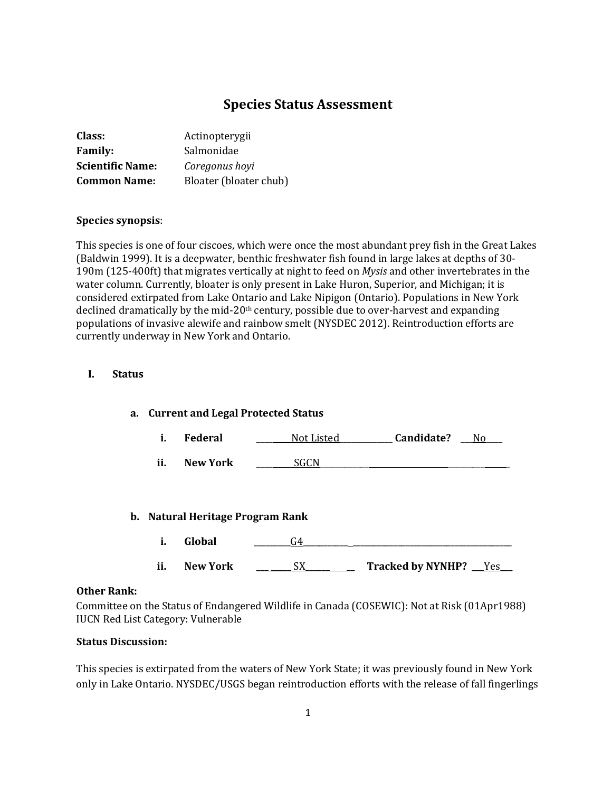# **Species Status Assessment**

| Class:                  | Actinopterygii         |
|-------------------------|------------------------|
| <b>Family:</b>          | Salmonidae             |
| <b>Scientific Name:</b> | Coregonus hoyi         |
| <b>Common Name:</b>     | Bloater (bloater chub) |

### **Species synopsis**:

This species is one of four ciscoes, which were once the most abundant prey fish in the Great Lakes (Baldwin 1999). It is a deepwater, benthic freshwater fish found in large lakes at depths of 30- 190m (125-400ft) that migrates vertically at night to feed on *Mysis* and other invertebrates in the water column. Currently, bloater is only present in Lake Huron, Superior, and Michigan; it is considered extirpated from Lake Ontario and Lake Nipigon (Ontario). Populations in New York declined dramatically by the mid-20<sup>th</sup> century, possible due to over-harvest and expanding populations of invasive alewife and rainbow smelt (NYSDEC 2012). Reintroduction efforts are currently underway in New York and Ontario.

## **I. Status**

| a. | <b>Current and Legal Protected Status</b> |                               |            |                         |  |
|----|-------------------------------------------|-------------------------------|------------|-------------------------|--|
|    | i.                                        | <b>Federal</b>                | Not Listed | Candidate?<br>No.       |  |
|    | ii.                                       | New York                      | SGCN       |                         |  |
|    |                                           |                               |            |                         |  |
| b. |                                           | Natural Heritage Program Rank |            |                         |  |
|    | i.                                        | Global                        | G4         |                         |  |
|    | ii.                                       | New York                      | SX.        | Tracked by NYNHP? __Yes |  |

#### **Other Rank:**

Committee on the Status of Endangered Wildlife in Canada (COSEWIC): Not at Risk (01Apr1988) IUCN Red List Category: Vulnerable

## **Status Discussion:**

This species is extirpated from the waters of New York State; it was previously found in New York only in Lake Ontario. NYSDEC/USGS began reintroduction efforts with the release of fall fingerlings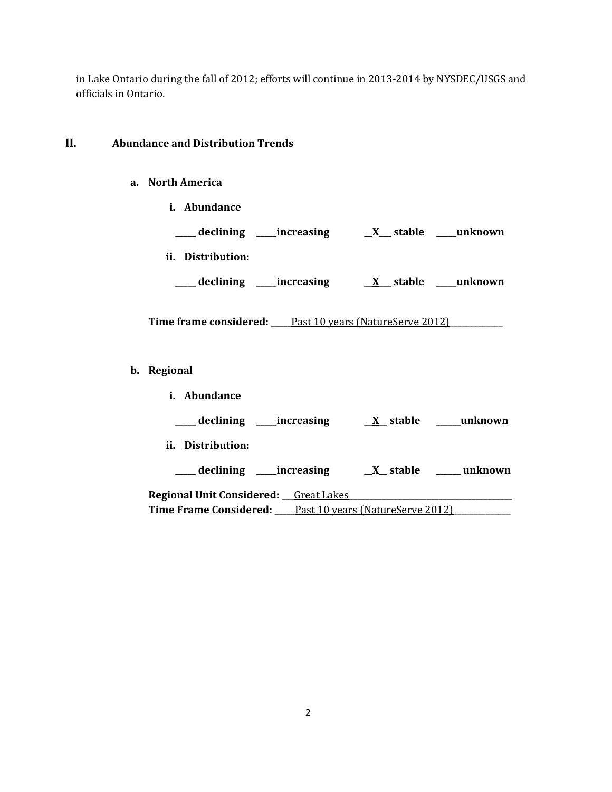in Lake Ontario during the fall of 2012; efforts will continue in 2013-2014 by NYSDEC/USGS and officials in Ontario.

# **II. Abundance and Distribution Trends**

## **a. North America**

- **i. Abundance \_\_\_\_\_ declining \_\_\_\_\_increasing \_\_X\_\_\_ stable \_\_\_\_\_unknown**
- **ii. Distribution:**
	- **\_\_\_\_\_ declining \_\_\_\_\_increasing \_\_X\_\_\_ stable \_\_\_\_\_unknown**

Time frame considered: \_\_\_\_Past 10 years (NatureServe 2012)\_\_\_\_\_\_\_\_\_\_\_\_\_\_\_\_\_\_\_\_\_

- **b. Regional** 
	- **i. Abundance**

**\_\_\_\_\_ declining \_\_\_\_\_increasing \_\_X\_\_ stable \_\_\_\_\_\_unknown**

**ii. Distribution:**

**\_\_\_\_\_ declining \_\_\_\_\_increasing \_\_X\_\_ stable \_\_\_\_\_\_ unknown**

**Regional Unit Considered: \_\_\_**Great Lakes**\_\_\_\_\_\_\_\_\_\_\_\_\_\_\_\_\_\_\_\_\_\_\_\_\_\_\_\_\_\_\_\_\_\_\_\_\_\_\_\_ Time Frame Considered:** Past 10 years (NatureServe 2012)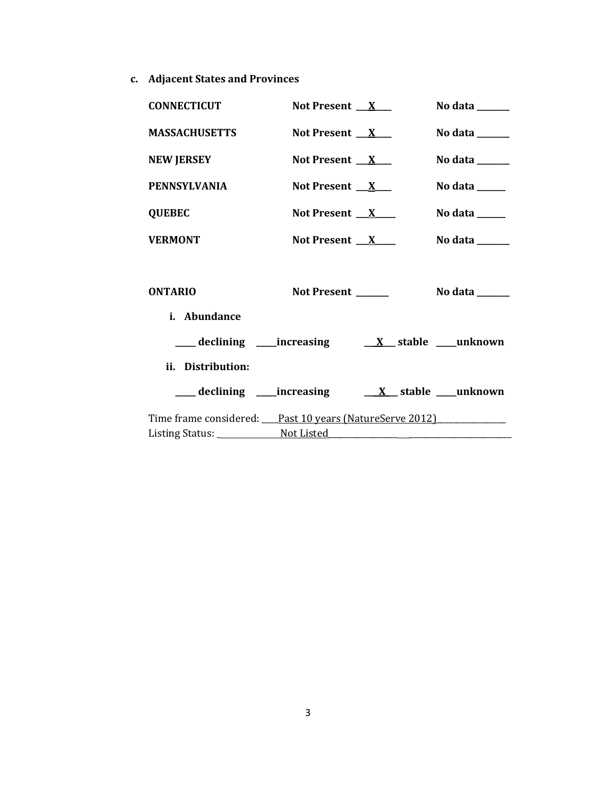**c. Adjacent States and Provinces**

| <b>CONNECTICUT</b>                                      | Not Present $X$    | No data $\frac{1}{\sqrt{1-\frac{1}{2}}\cdot\frac{1}{\sqrt{1-\frac{1}{2}}}}$ |
|---------------------------------------------------------|--------------------|-----------------------------------------------------------------------------|
| <b>MASSACHUSETTS</b>                                    | Not Present $X$    | No data $\_\_\_\_\_\_\_\_\_\_\_\_\_\_\_\_\_\_\_\_\_\_\_\_\_\_\_\_\_\_\_\_$  |
| <b>NEW JERSEY</b>                                       | Not Present $X$    | No data $\_\_\_\_\_\_\_\_\_\_\_\_\$                                         |
| <b>PENNSYLVANIA</b>                                     | Not Present $X$    | No data $\_\_\_\_\_\_\_\_\_\_\_\_\_\_\_\_\_\_\_\_\_\_\_\_\_\_\_\_\_\_\_$    |
| <b>QUEBEC</b>                                           | Not Present $X$    |                                                                             |
| <b>VERMONT</b>                                          | Not Present $X$    | No data $\_\_$                                                              |
|                                                         |                    |                                                                             |
| <b>ONTARIO</b>                                          | Not Present ______ | No data $\_\_\_\_\_\_\_\_\_\_\_\_\$                                         |
| i. Abundance                                            |                    |                                                                             |
|                                                         |                    |                                                                             |
| ii. Distribution:                                       |                    |                                                                             |
|                                                         |                    | ___ declining ____increasing _____ <u>X__</u> stable ____unknown            |
| Time frame considered: Past 10 years (NatureServe 2012) |                    |                                                                             |
|                                                         |                    |                                                                             |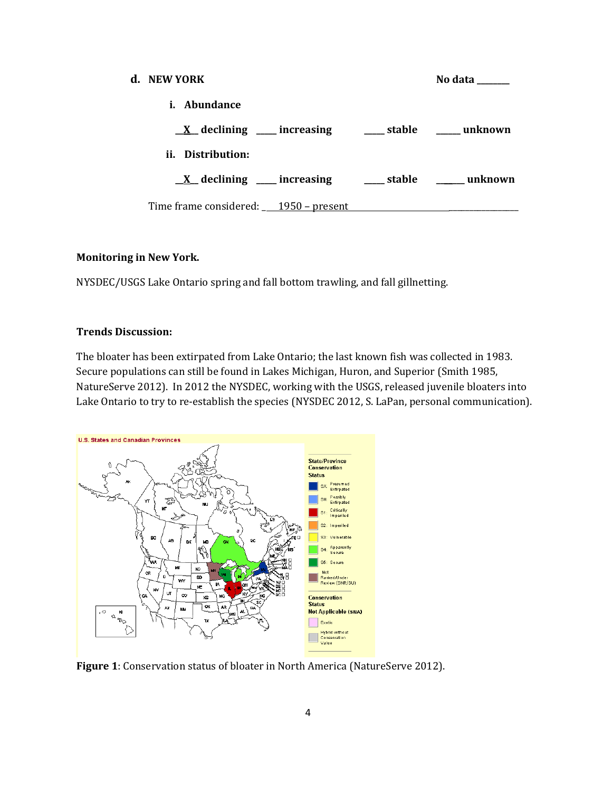| d. NEW YORK                                                          |  | No data |
|----------------------------------------------------------------------|--|---------|
| i. Abundance                                                         |  |         |
| $\underline{X}$ declining ____ increasing _____ stable _____ unknown |  |         |
| ii. Distribution:                                                    |  |         |
| $\underline{X}$ declining ___ increasing ___ stable ____ unknown     |  |         |
| Time frame considered: $\underline{\hspace{1cm}1950}$ – present      |  |         |

### **Monitoring in New York.**

NYSDEC/USGS Lake Ontario spring and fall bottom trawling, and fall gillnetting.

## **Trends Discussion:**

The bloater has been extirpated from Lake Ontario; the last known fish was collected in 1983. Secure populations can still be found in Lakes Michigan, Huron, and Superior (Smith 1985, NatureServe 2012). In 2012 the NYSDEC, working with the USGS, released juvenile bloaters into Lake Ontario to try to re-establish the species (NYSDEC 2012, S. LaPan, personal communication).



**Figure 1**: Conservation status of bloater in North America (NatureServe 2012).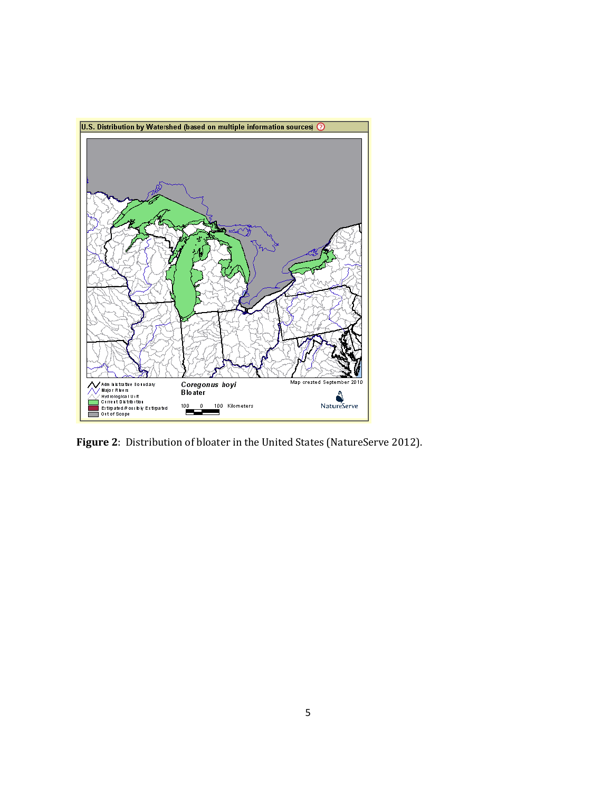

**Figure 2**: Distribution of bloater in the United States (NatureServe 2012).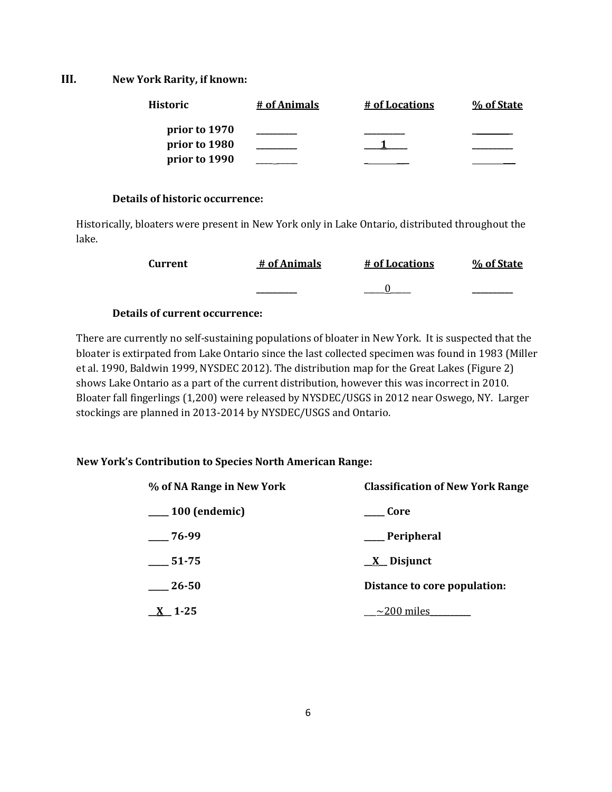**III. New York Rarity, if known:**

| Historic      | # of Animals | # of Locations | % of State |
|---------------|--------------|----------------|------------|
| prior to 1970 |              |                |            |
| prior to 1980 |              |                |            |
| prior to 1990 |              |                |            |

### **Details of historic occurrence:**

Historically, bloaters were present in New York only in Lake Ontario, distributed throughout the lake.

| Current | # of Animals | # of Locations | % of State |
|---------|--------------|----------------|------------|
|         | ________     |                | ________   |

## **Details of current occurrence:**

There are currently no self-sustaining populations of bloater in New York. It is suspected that the bloater is extirpated from Lake Ontario since the last collected specimen was found in 1983 (Miller et al. 1990, Baldwin 1999, NYSDEC 2012). The distribution map for the Great Lakes (Figure 2) shows Lake Ontario as a part of the current distribution, however this was incorrect in 2010. Bloater fall fingerlings (1,200) were released by NYSDEC/USGS in 2012 near Oswego, NY. Larger stockings are planned in 2013-2014 by NYSDEC/USGS and Ontario.

## **New York's Contribution to Species North American Range:**

| % of NA Range in New York | <b>Classification of New York Range</b> |
|---------------------------|-----------------------------------------|
| $\frac{100}{2}$ (endemic) | Core                                    |
| 76-99                     | Peripheral                              |
| 51-75                     | $\underline{X}$ Disjunct                |
| $-26-50$                  | Distance to core population:            |
| $1 - 25$                  | $\sim$ 200 miles                        |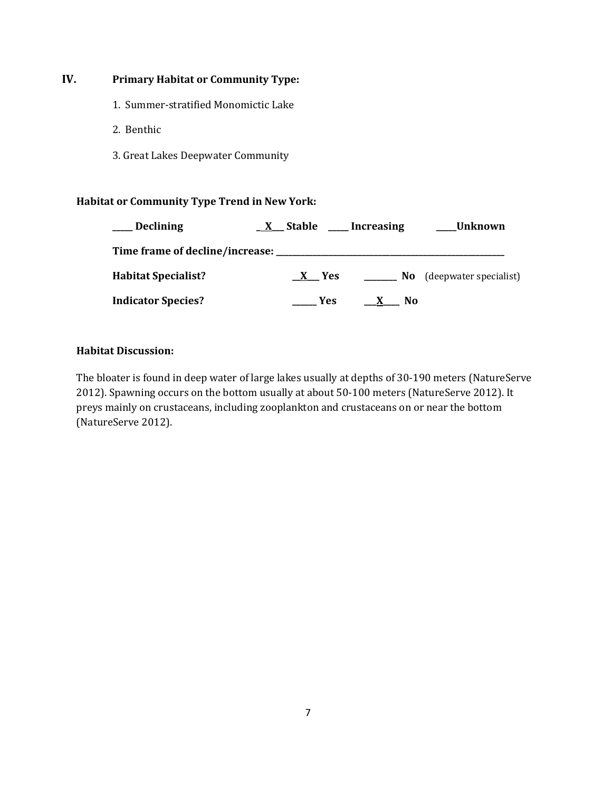# **IV. Primary Habitat or Community Type:**

- 1. Summer-stratified Monomictic Lake
- 2. Benthic
- 3. Great Lakes Deepwater Community

## **Habitat or Community Type Trend in New York:**

| <b>Declining</b>           | X Stable | Increasing     | Unknown                |
|----------------------------|----------|----------------|------------------------|
|                            |          |                |                        |
| <b>Habitat Specialist?</b> | X Yes    | No.            | (deepwater specialist) |
| <b>Indicator Species?</b>  | Yes      | N <sub>0</sub> |                        |

## **Habitat Discussion:**

The bloater is found in deep water of large lakes usually at depths of 30-190 meters (NatureServe 2012). Spawning occurs on the bottom usually at about 50-100 meters (NatureServe 2012). It preys mainly on crustaceans, including zooplankton and crustaceans on or near the bottom (NatureServe 2012).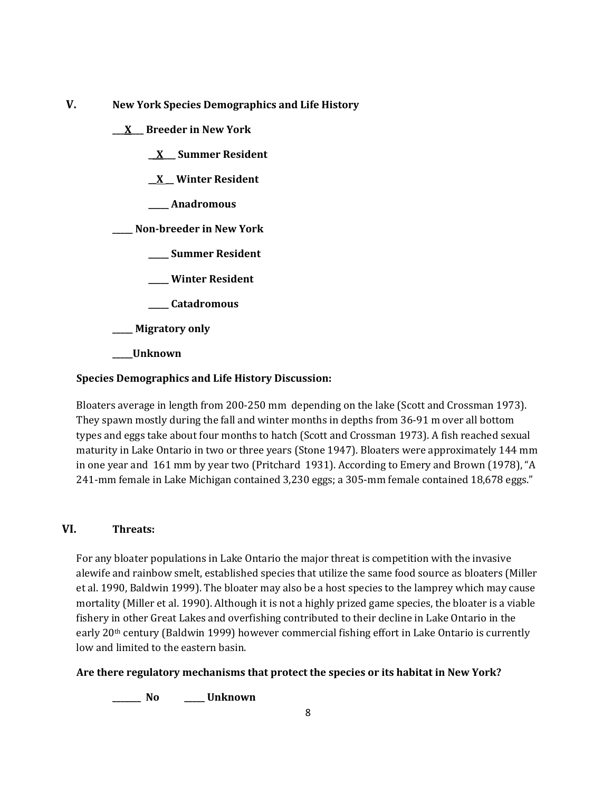**V. New York Species Demographics and Life History**

**\_\_\_X\_\_\_ Breeder in New York**

**\_\_X\_\_\_ Summer Resident**

**\_\_X \_\_ Winter Resident**

**\_\_\_\_\_ Anadromous**

**\_\_\_\_\_ Non-breeder in New York**

**\_\_\_\_\_ Summer Resident**

**\_\_\_\_\_ Winter Resident**

**\_\_\_\_\_ Catadromous**

**\_\_\_\_\_ Migratory only**

**\_\_\_\_\_Unknown**

## **Species Demographics and Life History Discussion:**

Bloaters average in length from 200-250 mm depending on the lake (Scott and Crossman 1973). They spawn mostly during the fall and winter months in depths from 36-91 m over all bottom types and eggs take about four months to hatch (Scott and Crossman 1973). A fish reached sexual maturity in Lake Ontario in two or three years (Stone 1947). Bloaters were approximately 144 mm in one year and 161 mm by year two (Pritchard 1931). According to Emery and Brown (1978), "A 241-mm female in Lake Michigan contained 3,230 eggs; a 305-mm female contained 18,678 eggs."

## **VI. Threats:**

For any bloater populations in Lake Ontario the major threat is competition with the invasive alewife and rainbow smelt, established species that utilize the same food source as bloaters (Miller et al. 1990, Baldwin 1999). The bloater may also be a host species to the lamprey which may cause mortality (Miller et al. 1990). Although it is not a highly prized game species, the bloater is a viable fishery in other Great Lakes and overfishing contributed to their decline in Lake Ontario in the early 20th century (Baldwin 1999) however commercial fishing effort in Lake Ontario is currently low and limited to the eastern basin.

## **Are there regulatory mechanisms that protect the species or its habitat in New York?**

**\_\_\_\_\_\_\_ No \_\_\_\_\_ Unknown**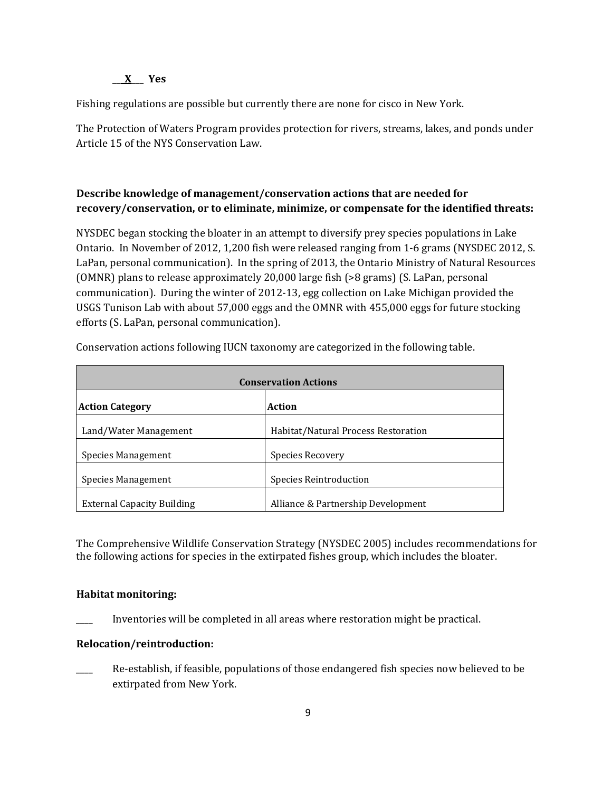### **\_\_\_X\_\_\_ Yes**

Fishing regulations are possible but currently there are none for cisco in New York.

The Protection of Waters Program provides protection for rivers, streams, lakes, and ponds under Article 15 of the NYS Conservation Law.

# **Describe knowledge of management/conservation actions that are needed for recovery/conservation, or to eliminate, minimize, or compensate for the identified threats:**

NYSDEC began stocking the bloater in an attempt to diversify prey species populations in Lake Ontario. In November of 2012, 1,200 fish were released ranging from 1-6 grams (NYSDEC 2012, S. LaPan, personal communication). In the spring of 2013, the Ontario Ministry of Natural Resources (OMNR) plans to release approximately 20,000 large fish (>8 grams) (S. LaPan, personal communication). During the winter of 2012-13, egg collection on Lake Michigan provided the USGS Tunison Lab with about 57,000 eggs and the OMNR with 455,000 eggs for future stocking efforts (S. LaPan, personal communication).

| <b>Conservation Actions</b>       |                                     |  |
|-----------------------------------|-------------------------------------|--|
| <b>Action Category</b>            | Action                              |  |
| Land/Water Management             | Habitat/Natural Process Restoration |  |
| <b>Species Management</b>         | Species Recovery                    |  |
| Species Management                | <b>Species Reintroduction</b>       |  |
| <b>External Capacity Building</b> | Alliance & Partnership Development  |  |

Conservation actions following IUCN taxonomy are categorized in the following table.

The Comprehensive Wildlife Conservation Strategy (NYSDEC 2005) includes recommendations for the following actions for species in the extirpated fishes group, which includes the bloater.

## **Habitat monitoring:**

Inventories will be completed in all areas where restoration might be practical.

#### **Relocation/reintroduction:**

Re-establish, if feasible, populations of those endangered fish species now believed to be extirpated from New York.